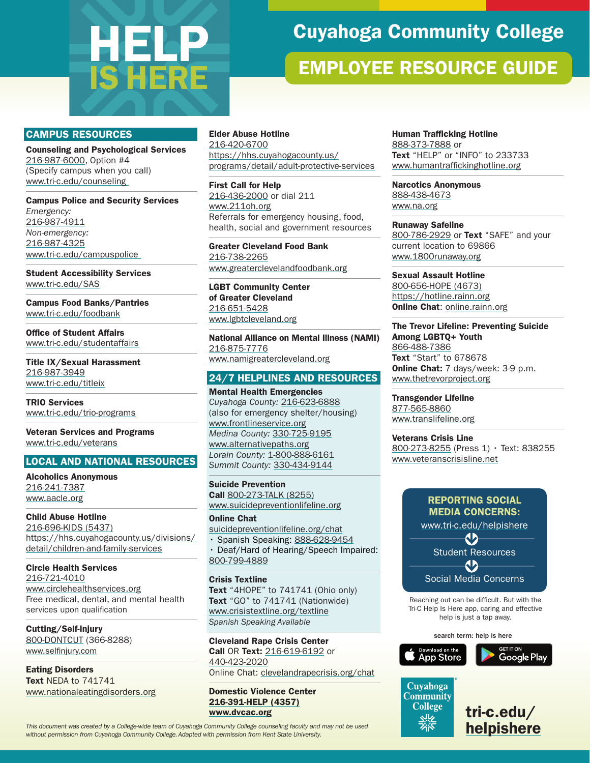# **HELP IS HERE**

# Cuyahoga Community College

# EMPLOYEE RESOURCE GUIDE

#### CAMPUS RESOURCES

Counseling and Psychological Services [216-987-6000](tel:+216-987-6000), Option #4 (Specify campus when you call) [www.tri-c.edu/counseling](http://www.tri-c.edu/counseling) 

Campus Police and Security Services *Emergency:*  [216-987-4911](tel:+216-987-4911) *Non-emergency:*  [216-987-4325](tel:+216-987-4325) [www.tri-c.edu/campuspolice](http://www.tri-c.edu/campuspolice) 

Student Accessibility Services [www.tri-c.edu/SAS](http://www.tri-c.edu/SAS)

Campus Food Banks/Pantries [www.tri-c.edu/foodbank](http://www.tri-c.edu/foodbank)

Office of Student Affairs [www.tri-c.edu/studentaffairs](http://www.tri-c.edu/studentaffairs)

Title IX/Sexual Harassment [216-987-3949](tel:+216-987-3949) [www.tri-c.edu/titleix](http://www.tri-c.edu/titleix)

TRIO Services [www.tri-c.edu/trio-programs](http://www.tri-c.edu/trio-programs)

Veteran Services and Programs [www.tri-c.edu/veterans](http://www.tri-c.edu/veterans)

#### LOCAL AND NATIONAL RESOURCES

Alcoholics Anonymous [216-241-7387](tel:+216-241-7387) [www.aacle.org](http://www.aacle.org)

Child Abuse Hotline [216-696-KIDS \(5437\)](tel:+216-696-5437) [https://hhs.cuyahogacounty.us/divisions/](https://hhs.cuyahogacounty.us/divisions/detail/children-and-family-services) [detail/children-and-family-services](https://hhs.cuyahogacounty.us/divisions/detail/children-and-family-services)

Circle Health Services [216-721-4010](tel:+216-721-4010) [www.circlehealthservices.org](http://www.circlehealthservices.org) Free medical, dental, and mental health services upon qualification

Cutting/Self-Injury [800-DONTCUT \(366-8288\)](tel:800-366-8288) [www.selfinjury.com](http://www.selfinjury.com)

Eating Disorders Text NEDA to 741741 [www.nationaleatingdisorders.org](http://www.nationaleatingdisorders.org)

#### Elder Abuse Hotline [216-420-6700](tel:+216-420-6700) [https://hhs.cuyahogacounty.us/](https://hhs.cuyahogacounty.us/programs/detail/adult-protective-services) [programs/detail/adult-protective-services](https://hhs.cuyahogacounty.us/programs/detail/adult-protective-services)

First Call for Help [216-436-2000](tel:+216-436-2000) or dial 211 [www.211oh.org](http://www.211oh.org) Referrals for emergency housing, food, health, social and government resources

Greater Cleveland Food Bank [216-738-2265](tel:+216-738-2265) [www.greaterclevelandfoodbank.org](http://www.greaterclevelandfoodbank.org)

LGBT Community Center of Greater Cleveland [216-651-5428](tel:+216-651-5428) [www.lgbtcleveland.org](http://www.lgbtcleveland.org)

National Alliance on Mental Illness (NAMI) [216-875-7776](tel:+216-875-7776) [www.namigreatercleveland.org](http://www.namigreatercleveland.org)

24/7 HELPLINES AND RESOURCES

Mental Health Emergencies *Cuyahoga County:* [216-623-6888](tel:+216-623-6888) (also for emergency shelter/housing) [www.frontlineservice.org](http://www.frontlineservice.org) *Medina County:* [330-725-9195](tel:+330-725-9195) [www.alternativepaths.org](http://www.alternativepaths.org) *Lorain County:* [1-800-888-6161](tel:+1-800-888-6161) *Summit County:* [330-434-9144](tel:+330-434-9144)

Suicide Prevention Call [800-273-TALK \(8255\)](tel:+800-273-8255) [www.suicidepreventionlifeline.org](http://www.suicidepreventionlifeline.org)

Online Chat

[suicidepreventionlifeline.org/chat](http://suicidepreventionlifeline.org/chat) • Spanish Speaking: [888-628-9454](tel:+888-628-9454)

• Deaf/Hard of Hearing/Speech Impaired: [800-799-4889](tel:+800-799-4889)

#### Crisis Textline

Text "4HOPE" to 741741 (Ohio only) Text "GO" to 741741 (Nationwide) [www.crisistextline.org/textline](http://www.crisistextline.org/textline) *Spanish Speaking Available*

Cleveland Rape Crisis Center Call OR Text: [216-619-6192](tel:+216-619-6192) or [440-423-2020](tel:+440-423-2020) Online Chat: <clevelandrapecrisis.org/chat>

Domestic Violence Center [216-391-HELP \(4357\)](tel:+216-391-4357) [www.dvcac.org](http://www.dvcac.org)

[helpishere](http://tri-c.edu/helpishere) *This document was created by a College-wide team of Cuyahoga Community College counseling faculty and may not be used without permission from Cuyahoga Community College. Adapted with permission from Kent State University.*

Human Trafficking Hotline [888-373-7888](tel:+888-373-7888) or Text "HELP" or "INFO" to 233733 [www.humantraffickinghotline.org](http://www.humantraffickinghotline.org)

Narcotics Anonymous [888-438-4673](tel:+888-438-4673) [www.na.org](http://www.na.org)

Runaway Safeline [800-786-2929](tel:+800-786-2929) or Text "SAFE" and your current location to 69866 [www.1800runaway.org](http://www.1800runaway.org)

Sexual Assault Hotline [800-656-HOPE \(4673\)](tel:+800-656-4673) <https://hotline.rainn.org> Online Chat: [online.rainn.org](http://online.rainn.org)

The Trevor Lifeline: Preventing Suicide Among LGBTQ+ Youth [866-488-7386](tel:+866-488-7386) Text "Start" to 678678 Online Chat: 7 days/week: 3-9 p.m. [www.thetrevorproject.org](http://www.thetrevorproject.org)

Transgender Lifeline [877-565-8860](tel:+877-565-8860) [www.translifeline.org](http://www.translifeline.org)

Veterans Crisis Line [800-273-8255](tel:+800-273-8255) (Press 1) · Text: 838255 [www.veteranscrisisline.net](https://www.veteranscrisisline.net/)



Reaching out can be difficult. But with the Tri-C Help Is Here app, caring and effective help is just a tap away.

search term: help is here